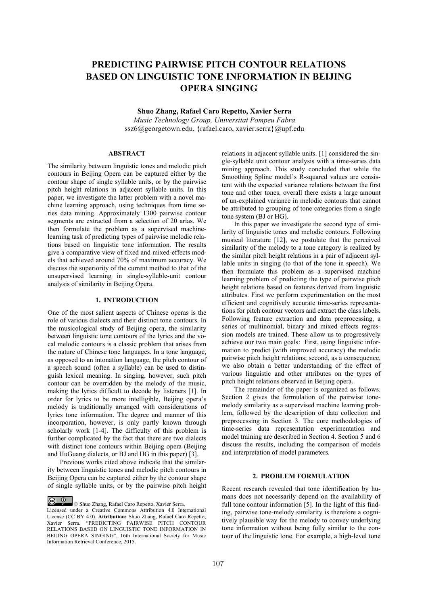# **PREDICTING PAIRWISE PITCH CONTOUR RELATIONS BASED ON LINGUISTIC TONE INFORMATION IN BEIJING OPERA SINGING**

**Shuo Zhang, Rafael Caro Repetto, Xavier Serra**

*Music Technology Group, Universitat Pompeu Fabra* ssz6@georgetown.edu, {rafael.caro, xavier.serra}@upf.edu

## **ABSTRACT**

The similarity between linguistic tones and melodic pitch contours in Beijing Opera can be captured either by the contour shape of single syllable units, or by the pairwise pitch height relations in adjacent syllable units. In this paper, we investigate the latter problem with a novel machine learning approach, using techniques from time series data mining. Approximately 1300 pairwise contour segments are extracted from a selection of 20 arias. We then formulate the problem as a supervised machinelearning task of predicting types of pairwise melodic relations based on linguistic tone information. The results give a comparative view of fixed and mixed-effects models that achieved around 70% of maximum accuracy. We discuss the superiority of the current method to that of the unsupervised learning in single-syllable-unit contour analysis of similarity in Beijing Opera.

## **1. INTRODUCTION**

One of the most salient aspects of Chinese operas is the role of various dialects and their distinct tone contours. In the musicological study of Beijing opera, the similarity between linguistic tone contours of the lyrics and the vocal melodic contours is a classic problem that arises from the nature of Chinese tone languages. In a tone language, as opposed to an intonation language, the pitch contour of a speech sound (often a syllable) can be used to distinguish lexical meaning. In singing, however, such pitch contour can be overridden by the melody of the music, making the lyrics difficult to decode by listeners [1]. In order for lyrics to be more intelligible, Beijing opera's melody is traditionally arranged with considerations of lyrics tone information. The degree and manner of this incorporation, however, is only partly known through scholarly work [1-4]. The difficulty of this problem is further complicated by the fact that there are two dialects with distinct tone contours within Beijing opera (Beijing and HuGuang dialects, or BJ and HG in this paper) [3].

Previous works cited above indicate that the similarity between linguistic tones and melodic pitch contours in Beijing Opera can be captured either by the contour shape of single syllable units, or by the pairwise pitch height relations in adjacent syllable units. [1] considered the single-syllable unit contour analysis with a time-series data mining approach. This study concluded that while the Smoothing Spline model's R-squared values are consistent with the expected variance relations between the first tone and other tones, overall there exists a large amount of un-explained variance in melodic contours that cannot be attributed to grouping of tone categories from a single tone system (BJ or HG).

In this paper we investigate the second type of similarity of linguistic tones and melodic contours. Following musical literature [12], we postulate that the perceived similarity of the melody to a tone category is realized by the similar pitch height relations in a pair of adjacent syllable units in singing (to that of the tone in speech). We then formulate this problem as a supervised machine learning problem of predicting the type of pairwise pitch height relations based on features derived from linguistic attributes. First we perform experimentation on the most efficient and cognitively accurate time-series representations for pitch contour vectors and extract the class labels. Following feature extraction and data preprocessing, a series of multinomial, binary and mixed effects regression models are trained. These allow us to progressively achieve our two main goals: First, using linguistic information to predict (with improved accuracy) the melodic pairwise pitch height relations; second, as a consequence, we also obtain a better understanding of the effect of various linguistic and other attributes on the types of pitch height relations observed in Beijing opera.

The remainder of the paper is organized as follows. Section 2 gives the formulation of the pairwise tonemelody similarity as a supervised machine learning problem, followed by the description of data collection and preprocessing in Section 3. The core methodologies of time-series data representation experimentation and model training are described in Section 4. Section 5 and 6 discuss the results, including the comparison of models and interpretation of model parameters.

## **2. PROBLEM FORMULATION**

Recent research revealed that tone identification by humans does not necessarily depend on the availability of full tone contour information [5]. In the light of this finding, pairwise tone-melody similarity is therefore a cognitively plausible way for the melody to convey underlying tone information without being fully similar to the contour of the linguistic tone. For example, a high-level tone

<sup>©</sup> Shuo Zhang, Rafael Caro Repetto, Xavier Serra. Licensed under a Creative Commons Attribution 4.0 International License (CC BY 4.0). **Attribution:** Shuo Zhang, Rafael Caro Repetto, Xavier Serra. "PREDICTING PAIRWISE PITCH CONTOUR RELATIONS BASED ON LINGUISTIC TONE INFORMATION IN BEIJING OPERA SINGING", 16th International Society for Music Information Retrieval Conference, 2015.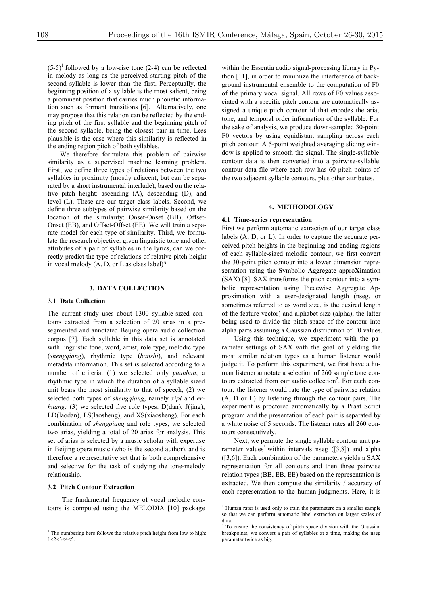$(5-5)^1$  followed by a low-rise tone (2-4) can be reflected in melody as long as the perceived starting pitch of the second syllable is lower than the first. Perceptually, the beginning position of a syllable is the most salient, being a prominent position that carries much phonetic information such as formant transitions [6]. Alternatively, one may propose that this relation can be reflected by the ending pitch of the first syllable and the beginning pitch of the second syllable, being the closest pair in time. Less plausible is the case where this similarity is reflected in the ending region pitch of both syllables.

We therefore formulate this problem of pairwise similarity as a supervised machine learning problem. First, we define three types of relations between the two syllables in proximity (mostly adjacent, but can be separated by a short instrumental interlude), based on the relative pitch height: ascending (A), descending (D), and level (L). These are our target class labels. Second, we define three subtypes of pairwise similarity based on the location of the similarity: Onset-Onset (BB), Offset-Onset (EB), and Offset-Offset (EE). We will train a separate model for each type of similarity. Third, we formulate the research objective: given linguistic tone and other attributes of a pair of syllables in the lyrics, can we correctly predict the type of relations of relative pitch height in vocal melody (A, D, or L as class label)?

## **3. DATA COLLECTION**

#### **3.1 Data Collection**

The current study uses about 1300 syllable-sized contours extracted from a selection of 20 arias in a presegmented and annotated Beijing opera audio collection corpus [7]. Each syllable in this data set is annotated with linguistic tone, word, artist, role type, melodic type (*shengqiang*), rhythmic type (*banshi*), and relevant metadata information. This set is selected according to a number of criteria: (1) we selected only *yuanban*, a rhythmic type in which the duration of a syllable sized unit bears the most similarity to that of speech; (2) we selected both types of *shengqiang*, namely *xipi* and *erhuang*; (3) we selected five role types: D(dan), J(jing), LD(laodan), LS(laosheng), and XS(xiaosheng). For each combination of *shengqiang* and role types, we selected two arias, yielding a total of 20 arias for analysis. This set of arias is selected by a music scholar with expertise in Beijing opera music (who is the second author), and is therefore a representative set that is both comprehensive and selective for the task of studying the tone-melody relationship.

### **3.2 Pitch Contour Extraction**

The fundamental frequency of vocal melodic contours is computed using the MELODIA [10] package within the Essentia audio signal-processing library in Python [11], in order to minimize the interference of background instrumental ensemble to the computation of F0 of the primary vocal signal. All rows of F0 values associated with a specific pitch contour are automatically assigned a unique pitch contour id that encodes the aria, tone, and temporal order information of the syllable. For the sake of analysis, we produce down-sampled 30-point F0 vectors by using equidistant sampling across each pitch contour. A 5-point weighted averaging sliding window is applied to smooth the signal. The single-syllable contour data is then converted into a pairwise-syllable contour data file where each row has 60 pitch points of the two adjacent syllable contours, plus other attributes.

#### **4. METHODOLOGY**

#### **4.1 Time-series representation**

First we perform automatic extraction of our target class labels (A, D, or L). In order to capture the accurate perceived pitch heights in the beginning and ending regions of each syllable-sized melodic contour, we first convert the 30-point pitch contour into a lower dimension representation using the **S**ymbolic **A**ggregate appro**X**imation (SAX) [8]. SAX transforms the pitch contour into a symbolic representation using Piecewise Aggregate Approximation with a user-designated length (nseg, or sometimes referred to as word size, is the desired length of the feature vector) and alphabet size (alpha), the latter being used to divide the pitch space of the contour into alpha parts assuming a Gaussian distribution of F0 values.

Using this technique, we experiment with the parameter settings of SAX with the goal of yielding the most similar relation types as a human listener would judge it. To perform this experiment, we first have a human listener annotate a selection of 260 sample tone contours extracted from our audio collection<sup>2</sup>. For each contour, the listener would rate the type of pairwise relation (A, D or L) by listening through the contour pairs. The experiment is proctored automatically by a Praat Script program and the presentation of each pair is separated by a white noise of 5 seconds. The listener rates all 260 contours consecutively.

Next, we permute the single syllable contour unit parameter values<sup>3</sup> within intervals nseg  $(3,8)$  and alpha ([3,6]). Each combination of the parameters yields a SAX representation for all contours and then three pairwise relation types (BB, EB, EE) based on the representation is extracted. We then compute the similarity / accuracy of each representation to the human judgments. Here, it is

 $\frac{1}{1}$  $<sup>1</sup>$  The numbering here follows the relative pitch height from low to high:</sup> 1<2<3<4<5.

 <sup>2</sup> Human rater is used only to train the parameters on a smaller sample so that we can perform automatic label extraction on larger scales of data.

<sup>&</sup>lt;sup>3</sup> To ensure the consistency of pitch space division with the Gaussian breakpoints, we convert a pair of syllables at a time, making the nseg parameter twice as big.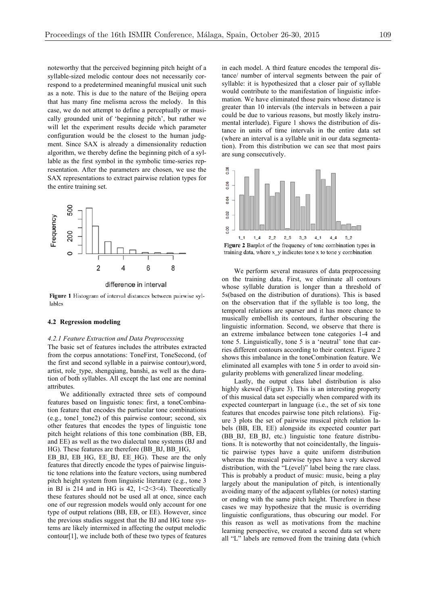noteworthy that the perceived beginning pitch height of a syllable-sized melodic contour does not necessarily correspond to a predetermined meaningful musical unit such as a note. This is due to the nature of the Beijing opera that has many fine melisma across the melody. In this case, we do not attempt to define a perceptually or musically grounded unit of 'beginning pitch', but rather we will let the experiment results decide which parameter configuration would be the closest to the human judgment. Since SAX is already a dimensionality reduction algorithm, we thereby define the beginning pitch of a syllable as the first symbol in the symbolic time-series representation. After the parameters are chosen, we use the SAX representations to extract pairwise relation types for the entire training set.



difference in interval

Figure 1 Histogram of interval distances between pairwise syllables

#### **4.2 Regression modeling**

#### *4.2.1 Feature Extraction and Data Preprocessing*

The basic set of features includes the attributes extracted from the corpus annotations: ToneFirst, ToneSecond, (of the first and second syllable in a pairwise contour),word, artist, role\_type, shengqiang, banshi, as well as the duration of both syllables. All except the last one are nominal attributes.

We additionally extracted three sets of compound features based on linguistic tones: first, a toneCombination feature that encodes the particular tone combinations (e.g., tone1\_tone2) of this pairwise contour; second, six other features that encodes the types of linguistic tone pitch height relations of this tone combination (BB, EB, and EE) as well as the two dialectal tone systems (BJ and HG). These features are therefore (BB\_BJ, BB\_HG,

EB BJ, EB HG, EE BJ, EE HG). These are the only features that directly encode the types of pairwise linguistic tone relations into the feature vectors, using numbered pitch height system from linguistic literature (e.g., tone 3 in BJ is 214 and in HG is  $42$ ,  $1 < 2 < 3 < 4$ ). Theoretically these features should not be used all at once, since each one of our regression models would only account for one type of output relations (BB, EB, or EE). However, since the previous studies suggest that the BJ and HG tone systems are likely intermixed in affecting the output melodic contour[1], we include both of these two types of features in each model. A third feature encodes the temporal distance/ number of interval segments between the pair of syllable: it is hypothesized that a closer pair of syllable would contribute to the manifestation of linguistic information. We have eliminated those pairs whose distance is greater than 10 intervals (the intervals in between a pair could be due to various reasons, but mostly likely instrumental interlude). Figure 1 shows the distribution of distance in units of time intervals in the entire data set (where an interval is a syllable unit in our data segmentation). From this distribution we can see that most pairs are sung consecutively.



training data, where  $x_y$  indicates tone x to tone y combination

We perform several measures of data preprocessing on the training data. First, we eliminate all contours whose syllable duration is longer than a threshold of 5s(based on the distribution of durations). This is based on the observation that if the syllable is too long, the temporal relations are sparser and it has more chance to musically embellish its contours, further obscuring the linguistic information. Second, we observe that there is an extreme imbalance between tone categories 1-4 and tone 5. Linguistically, tone 5 is a 'neutral' tone that carries different contours according to their context. Figure 2 shows this imbalance in the toneCombination feature. We eliminated all examples with tone 5 in order to avoid singularity problems with generalized linear modeling.

Lastly, the output class label distribution is also highly skewed (Figure 3). This is an interesting property of this musical data set especially when compared with its expected counterpart in language (i.e., the set of six tone features that encodes pairwise tone pitch relations). Figure 3 plots the set of pairwise musical pitch relation labels (BB, EB, EE) alongside its expected counter part (BB\_BJ, EB\_BJ, etc.) linguistic tone feature distributions. It is noteworthy that not coincidentally, the linguistic pairwise types have a quite uniform distribution whereas the musical pairwise types have a very skewed distribution, with the "L(evel)" label being the rare class. This is probably a product of music: music, being a play largely about the manipulation of pitch, is intentionally avoiding many of the adjacent syllables (or notes) starting or ending with the same pitch height. Therefore in these cases we may hypothesize that the music is overriding linguistic configurations, thus obscuring our model. For this reason as well as motivations from the machine learning perspective, we created a second data set where all "L" labels are removed from the training data (which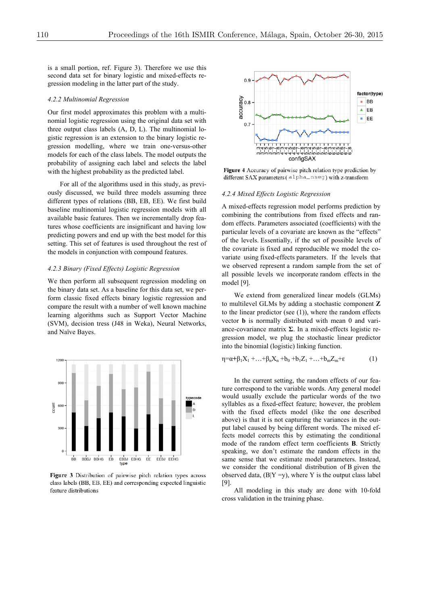is a small portion, ref. Figure 3). Therefore we use this second data set for binary logistic and mixed-effects regression modeling in the latter part of the study.

#### *4.2.2 Multinomial Regression*

Our first model approximates this problem with a multinomial logistic regression using the original data set with three output class labels (A, D, L). The multinomial logistic regression is an extension to the binary logistic regression modelling, where we train one-versus-other models for each of the class labels. The model outputs the probability of assigning each label and selects the label with the highest probability as the predicted label.

For all of the algorithms used in this study, as previously discussed, we build three models assuming three different types of relations (BB, EB, EE). We first build baseline multinomial logistic regression models with all available basic features. Then we incrementally drop features whose coefficients are insignificant and having low predicting powers and end up with the best model for this setting. This set of features is used throughout the rest of the models in conjunction with compound features.

### *4.2.3 Binary (Fixed Effects) Logistic Regression*

We then perform all subsequent regression modeling on the binary data set. As a baseline for this data set, we perform classic fixed effects binary logistic regression and compare the result with a number of well known machine learning algorithms such as Support Vector Machine (SVM), decision tress (J48 in Weka), Neural Networks, and Naïve Bayes.



Figure 3 Distribution of pairwise pitch relation types across class labels (BB, EB, EE) and corresponding expected linguistic feature distributions



Figure 4 Accuracy of pairwise pitch relation type prediction by different SAX parameters (alpha\_nseg) with z-transform

#### *4.2.4 Mixed Effects Logistic Regression*

A mixed-effects regression model performs prediction by combining the contributions from fixed effects and random effects. Parameters associated (coefficients) with the particular levels of a covariate are known as the "effects" of the levels. Essentially, if the set of possible levels of the covariate is fixed and reproducible we model the covariate using fixed-effects parameters. If the levels that we observed represent a random sample from the set of all possible levels we incorporate random effects in the model [9].

We extend from generalized linear models (GLMs) to multilevel GLMs by adding a stochastic component **Z** to the linear predictor (see (1)), where the random effects vector **b** is normally distributed with mean 0 and variance-covariance matrix **Σ**. In a mixed-effects logistic regression model, we plug the stochastic linear predictor into the binomial (logistic) linking function.

$$
\eta = \alpha + \beta_1 X_1 + \ldots + \beta_n X_n + b_0 + b_1 Z_1 + \ldots + b_m Z_m + \epsilon \tag{1}
$$

In the current setting, the random effects of our feature correspond to the variable words. Any general model would usually exclude the particular words of the two syllables as a fixed-effect feature; however, the problem with the fixed effects model (like the one described above) is that it is not capturing the variances in the output label caused by being different words. The mixed effects model corrects this by estimating the conditional mode of the random effect term coefficients **B**. Strictly speaking, we don't estimate the random effects in the same sense that we estimate model parameters. Instead, we consider the conditional distribution of B given the observed data,  $(B|Y=y)$ , where Y is the output class label [9].

All modeling in this study are done with 10-fold cross validation in the training phase.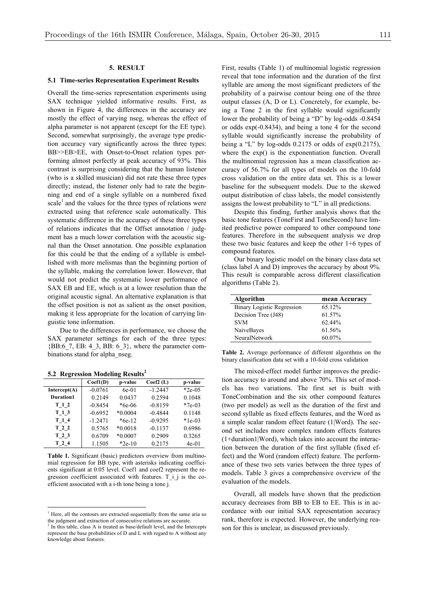## **5. RESULT**

#### **5.1 Time-series Representation Experiment Results**

Overall the time-series representation experiments using SAX technique yielded informative results. First, as shown in Figure 4, the differences in the accuracy are mostly the effect of varying nseg, whereas the effect of alpha parameter is not apparent (except for the EE type). Second, somewhat surprisingly, the average type prediction accuracy vary significantly across the three types: BB>>EB>EE, with Onset-to-Onset relation types performing almost perfectly at peak accuracy of 93%. This contrast is surprising considering that the human listener (who is a skilled musician) did not rate these three types directly; instead, the listener only had to rate the beginning and end of a single syllable on a numbered fixed scale<sup>1</sup> and the values for the three types of relations were extracted using that reference scale automatically. This systematic difference in the accuracy of these three types of relations indicates that the Offset annotation / judgment has a much lower correlation with the acoustic signal than the Onset annotation. One possible explanation for this could be that the ending of a syllable is embellished with more melismas than the beginning portion of the syllable, making the correlation lower. However, that would not predict the systematic lower performance of SAX EB and EE, which is at a lower resolution than the original acoustic signal. An alternative explanation is that the offset position is not as salient as the onset position, making it less appropriate for the location of carrying linguistic tone information.

Due to the differences in performance, we choose the SAX parameter settings for each of the three types:  ${BB:6}$  7, EB: 4\_3, BB: 6\_3}, where the parameter combinations stand for alpha\_nseg.

| $\tilde{}$   |           |           |           |          |
|--------------|-----------|-----------|-----------|----------|
|              | Coeff(D)  | p-value   | Coef2(L)  | p-value  |
| Intercept(A) | $-0.0761$ | 6e-01     | $-1.2447$ | $*2e-05$ |
| Duration1    | 0.2149    | 0.0437    | 0.2594    | 0.1048   |
| T 1 2        | $-0.8454$ | $*6e-06$  | $-0.8159$ | $*7e-03$ |
| T13          | $-0.6952$ | $*0.0004$ | $-0.4844$ | 0.1148   |
| T 1 4        | $-1.2471$ | $*6e-12$  | $-0.9295$ | $*1e-03$ |
| T 2 2        | 0.5765    | $*0.0018$ | $-0.1137$ | 0.6986   |
| T 2 3        | 0.6709    | $*0.0007$ | 0.2909    | 0.3265   |
| T 2 4        | 1.1505    | $*2e-10$  | 0.2175    | $4e-01$  |
|              |           |           |           |          |

**5.2 Regression Modeling Results<sup>2</sup>**

**Table 1.** Significant (basic) predictors overview from multinomial regression for BB type, with asterisks indicating coefficients significant at 0.05 level. Coef1 and coef2 represent the regression coefficient associated with features. T\_i\_j is the coefficient associated with a i-th tone being a tone j.

First, results (Table 1) of multinomial logistic regression reveal that tone information and the duration of the first syllable are among the most significant predictors of the probability of a pairwise contour being one of the three output classes (A, D or L). Concretely, for example, being a Tone 2 in the first syllable would significantly lower the probability of being a "D" by log-odds -0.8454 or odds exp(-0.8434), and being a tone 4 for the second syllable would significantly increase the probability of being a "L" by log-odds  $0.2175$  or odds of exp $(0.2175)$ , where the exp() is the exponentiation function. Overall the multinomial regression has a mean classification accuracy of 56.7% for all types of models on the 10-fold cross validation on the entire data set. This is a lower baseline for the subsequent models. Due to the skewed output distribution of class labels, the model consistently assigns the lowest probability to "L" in all predictions.

Despite this finding, further analysis shows that the basic tone features (ToneFirst and ToneSecond) have limited predictive power compared to other compound tone features. Therefore in the subsequent analysis we drop these two basic features and keep the other 1+6 types of compound features.

Our binary logistic model on the binary class data set (class label A and D) improves the accuracy by about 9%. This result is comparable across different classification algorithms (Table 2).

| Algorithm                         | mean Accuracy |
|-----------------------------------|---------------|
| <b>Binary Logistic Regression</b> | 65.12%        |
| Decision Tree (J48)               | 61.57%        |
| <b>SVM</b>                        | $62.44\%$     |
| NaiveBayes                        | 61.56%        |
| NeuralNetwork                     | 60.07%        |

**Table 2.** Average performance of different algorithms on the binary classification data set with a 10-fold cross validation

The mixed-effect model further improves the prediction accuracy to around and above 70%. This set of models has two variations. The first set is built with ToneCombination and the six other compound features (two per model) as well as the duration of the first and second syllable as fixed effects features, and the Word as a simple scalar random effect feature (1|Word). The second set includes more complex random effects features (1+duration1|Word), which takes into account the interaction between the duration of the first syllable (fixed effect) and the Word (random effect) feature. The performance of these two sets varies between the three types of models. Table 3 gives a comprehensive overview of the evaluation of the models.

Overall, all models have shown that the prediction accuracy decreases from BB to EB to EE. This is in accordance with our initial SAX representation accuracy rank, therefore is expected. However, the underlying reason for this is unclear, as discussed previously.

<sup>&</sup>lt;sup>1</sup> Here, all the contours are extracted sequentially from the same aria so the judgment and extraction of consecutive relations are accurate. <sup>2</sup> In this table, class A is treated as base/default level, and the Intercepts

represent the base probabilities of D and L with regard to A without any knowledge about features.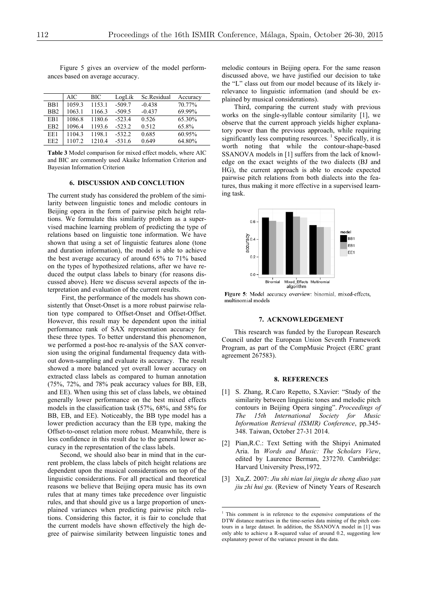Figure 5 gives an overview of the model performances based on average accuracy.

|                 | AIC    | BIC    | LogLik   | Sc.Residual | Accuracy |
|-----------------|--------|--------|----------|-------------|----------|
| B <sub>B1</sub> | 1059.3 | 1153.1 | $-509.7$ | $-0.438$    | 70.77%   |
| B <sub>B2</sub> | 1063.1 | 1166.3 | $-509.5$ | $-0.437$    | 69.99%   |
| EB1             | 1086.8 | 1180.6 | $-523.4$ | 0.526       | 65.30%   |
| EB <sub>2</sub> | 1096.4 | 1193.6 | $-523.2$ | 0.512       | 65.8%    |
| EE1             | 1104.3 | 1198.1 | $-532.2$ | 0.685       | 60.95%   |
| EE <sub>2</sub> |        | 12104  | $-531.6$ | 0.649       | 64.80%   |

**Table 3** Model comparison for mixed effect models, where AIC and BIC are commonly used Akaike Information Criterion and Bayesian Information Criterion

#### **6. DISCUSSION AND CONCLUTION**

The current study has considered the problem of the similarity between linguistic tones and melodic contours in Beijing opera in the form of pairwise pitch height relations. We formulate this similarity problem as a supervised machine learning problem of predicting the type of relations based on linguistic tone information. We have shown that using a set of linguistic features alone (tone and duration information), the model is able to achieve the best average accuracy of around 65% to 71% based on the types of hypothesized relations, after we have reduced the output class labels to binary (for reasons discussed above). Here we discuss several aspects of the interpretation and evaluation of the current results.

First, the performance of the models has shown consistently that Onset-Onset is a more robust pairwise relation type compared to Offset-Onset and Offset-Offset. However, this result may be dependent upon the initial performance rank of SAX representation accuracy for these three types. To better understand this phenomenon, we performed a post-hoc re-analysis of the SAX conversion using the original fundamental frequency data without down-sampling and evaluate its accuracy. The result showed a more balanced yet overall lower accuracy on extracted class labels as compared to human annotation (75%, 72%, and 78% peak accuracy values for BB, EB, and EE). When using this set of class labels, we obtained generally lower performance on the best mixed effects models in the classification task (57%, 68%, and 58% for BB, EB, and EE). Noticeably, the BB type model has a lower prediction accuracy than the EB type, making the Offset-to-onset relation more robust. Meanwhile, there is less confidence in this result due to the general lower accuracy in the representation of the class labels.

Second, we should also bear in mind that in the current problem, the class labels of pitch height relations are dependent upon the musical considerations on top of the linguistic considerations. For all practical and theoretical reasons we believe that Beijing opera music has its own rules that at many times take precedence over linguistic rules, and that should give us a large proportion of unexplained variances when predicting pairwise pitch relations. Considering this factor, it is fair to conclude that the current models have shown effectively the high degree of pairwise similarity between linguistic tones and melodic contours in Beijing opera. For the same reason discussed above, we have justified our decision to take the "L" class out from our model because of its likely irrelevance to linguistic information (and should be explained by musical considerations).

Third, comparing the current study with previous works on the single-syllable contour similarity [1], we observe that the current approach yields higher explanatory power than the previous approach, while requiring significantly less computing resources.<sup>1</sup> Specifically, it is worth noting that while the contour-shape-based SSANOVA models in [1] suffers from the lack of knowledge on the exact weights of the two dialects (BJ and HG), the current approach is able to encode expected pairwise pitch relations from both dialects into the features, thus making it more effective in a supervised learning task.



Figure 5: Model accuracy overview: binomial, mixed-effects, multinomial models

## **7. ACKNOWLEDGEMENT**

This research was funded by the European Research Council under the European Union Seventh Framework Program, as part of the CompMusic Project (ERC grant agreement 267583).

#### **8. REFERENCES**

- [1] S. Zhang, R.Caro Repetto, S.Xavier: "Study of the similarity between linguistic tones and melodic pitch contours in Beijing Opera singing". *Proceedings of The 15th International Society for Music Information Retrieval (ISMIR) Conference*, pp.345- 348. Taiwan, October 27-31 2014.
- [2] Pian,R.C.: Text Setting with the Shipyi Animated Aria. In *Words and Music: The Scholars View*, edited by Laurence Berman, 237270. Cambridge: Harvard University Press,1972.
- [3] Xu,Z. 2007: *Jiu shi nian lai jingju de sheng diao yan jiu zhi hui gu.* (Review of Ninety Years of Research

 $\frac{1}{1}$  $1$  This comment is in reference to the expensive computations of the DTW distance matrixes in the time-series data mining of the pitch contours in a large dataset. In addition, the SSANOVA model in [1] was only able to achieve a R-squared value of around 0.2, suggesting low explanatory power of the variance present in the data.